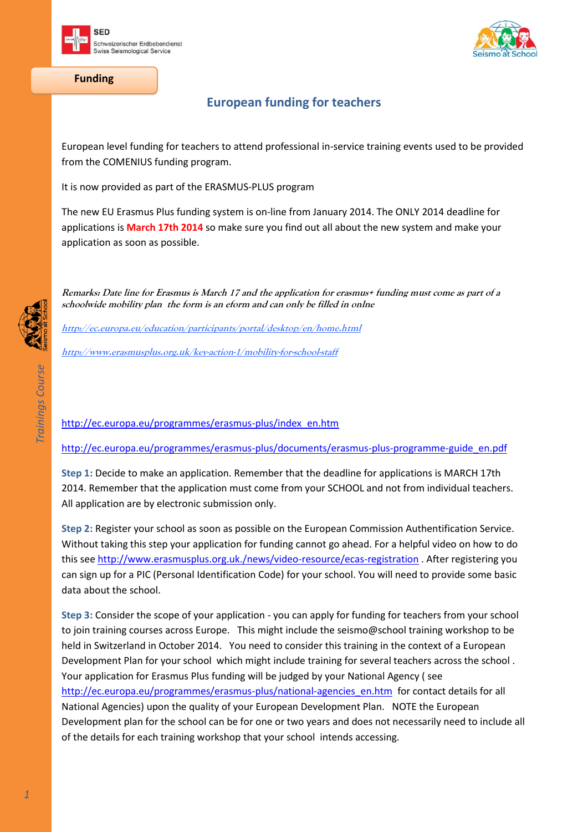



**Funding**

## **European funding for teachers**

European level funding for teachers to attend professional in-service training events used to be provided from the COMENIUS funding program.

It is now provided as part of the ERASMUS-PLUS program

The new EU Erasmus Plus funding system is on-line from January 2014. The ONLY 2014 deadline for applications is **March 17th 2014** so make sure you find out all about the new system and make your application as soon as possible.

**Remarks: Date line for Erasmus is March 17 and the application for erasmus+ funding must come as part of a schoolwide mobility plan the form is an eform and can only be filled in onlne**

**<http://ec.europa.eu/education/participants/portal/desktop/en/home.html>**

**<http://www.erasmusplus.org.uk/key-action-1/mobility-for-school-staff>**

[http://ec.europa.eu/programmes/erasmus-plus/index\\_en.htm](http://ec.europa.eu/programmes/erasmus-plus/index_en.htm)

[http://ec.europa.eu/programmes/erasmus-plus/documents/erasmus-plus-programme-guide\\_en.pdf](http://ec.europa.eu/programmes/erasmus-plus/documents/erasmus-plus-programme-guide_en.pdf)

**Step 1:** Decide to make an application. Remember that the deadline for applications is MARCH 17th 2014. Remember that the application must come from your SCHOOL and not from individual teachers. All application are by electronic submission only.

**Step 2:** Register your school as soon as possible on the European Commission Authentification Service. Without taking this step your application for funding cannot go ahead. For a helpful video on how to do this see<http://www.erasmusplus.org.uk./news/video-resource/ecas-registration> . After registering you can sign up for a PIC (Personal Identification Code) for your school. You will need to provide some basic data about the school.

**Step 3:** Consider the scope of your application - you can apply for funding for teachers from your school to join training courses across Europe. This might include the seismo@school training workshop to be held in Switzerland in October 2014. You need to consider this training in the context of a European Development Plan for your school which might include training for several teachers across the school . Your application for Erasmus Plus funding will be judged by your National Agency ( see [http://ec.europa.eu/programmes/erasmus-plus/national-agencies\\_en.htm](http://ec.europa.eu/programmes/erasmus-plus/national-agencies_en.htm) for contact details for all National Agencies) upon the quality of your European Development Plan. NOTE the European Development plan for the school can be for one or two years and does not necessarily need to include all of the details for each training workshop that your school intends accessing.